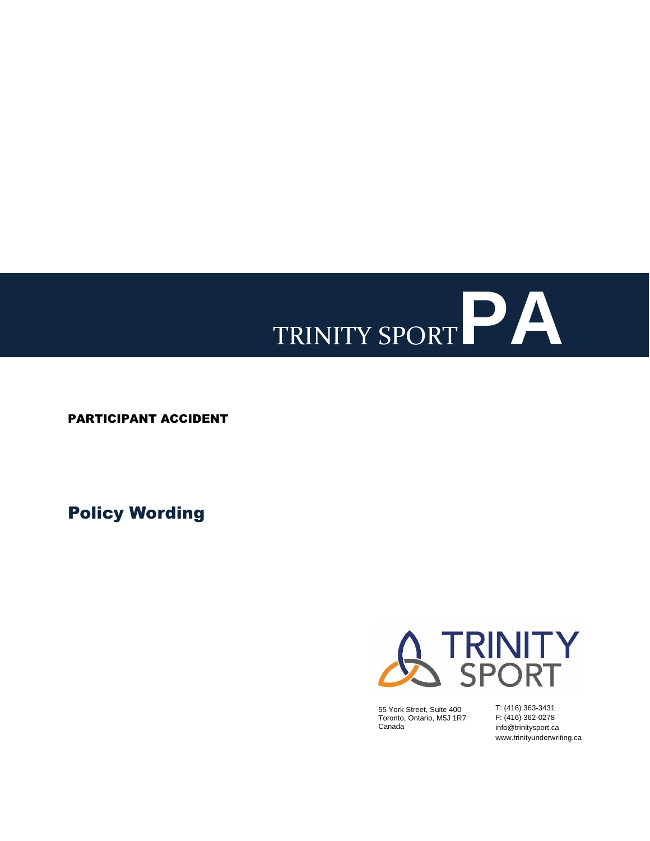# TRINITY SPORT**PA**

PARTICIPANT ACCIDENT

Policy Wording



55 York Street, Suite 400 Toronto, Ontario, M5J 1R7 Canada

T: (416) 363-3431 F: (416) 362-0278 info@trinitysport.ca www.trinityunderwriting.ca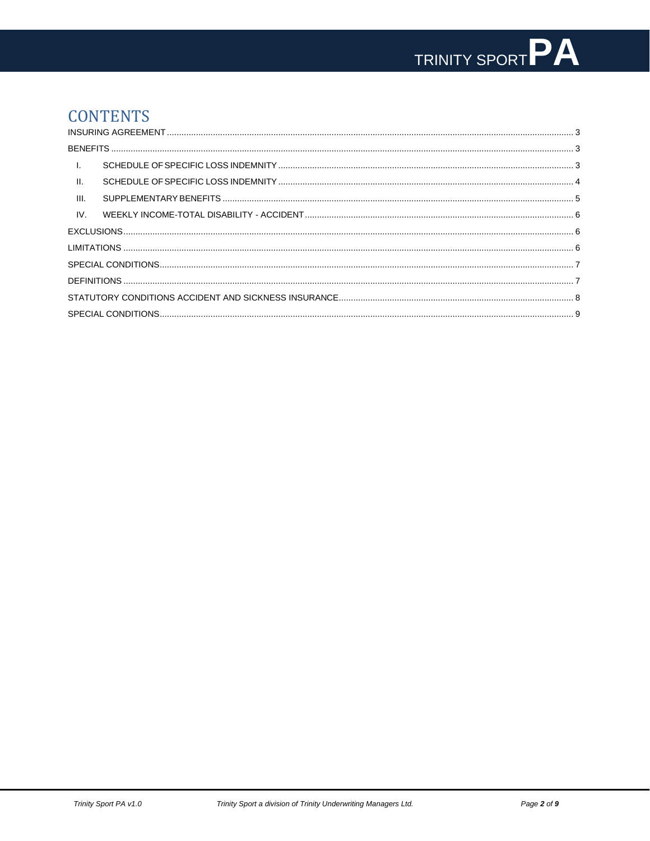# **CONTENTS**

| $\pm$           |  |  |  |  |
|-----------------|--|--|--|--|
| $\mathbf{II}$ . |  |  |  |  |
| III.            |  |  |  |  |
| IV.             |  |  |  |  |
|                 |  |  |  |  |
|                 |  |  |  |  |
|                 |  |  |  |  |
|                 |  |  |  |  |
|                 |  |  |  |  |
|                 |  |  |  |  |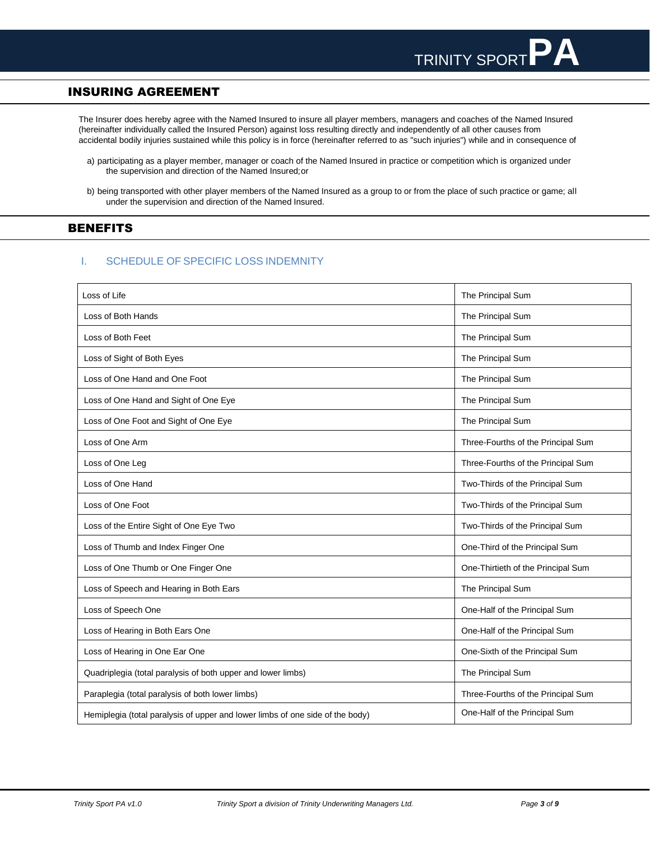# <span id="page-2-0"></span>INSURING AGREEMENT

The Insurer does hereby agree with the Named Insured to insure all player members, managers and coaches of the Named Insured (hereinafter individually called the Insured Person) against loss resulting directly and independently of all other causes from accidental bodily injuries sustained while this policy is in force (hereinafter referred to as "such injuries") while and in consequence of

- a) participating as a player member, manager or coach of the Named Insured in practice or competition which is organized under the supervision and direction of the Named Insured;or
- b) being transported with other player members of the Named Insured as a group to or from the place of such practice or game; all under the supervision and direction of the Named Insured.

# <span id="page-2-1"></span>BENEFITS

# <span id="page-2-2"></span>I. SCHEDULE OF SPECIFIC LOSS INDEMNITY

| Loss of Life                                                                  | The Principal Sum                  |
|-------------------------------------------------------------------------------|------------------------------------|
| Loss of Both Hands                                                            | The Principal Sum                  |
| Loss of Both Feet                                                             | The Principal Sum                  |
| Loss of Sight of Both Eyes                                                    | The Principal Sum                  |
| Loss of One Hand and One Foot                                                 | The Principal Sum                  |
| Loss of One Hand and Sight of One Eye                                         | The Principal Sum                  |
| Loss of One Foot and Sight of One Eye                                         | The Principal Sum                  |
| Loss of One Arm                                                               | Three-Fourths of the Principal Sum |
| Loss of One Leg                                                               | Three-Fourths of the Principal Sum |
| Loss of One Hand                                                              | Two-Thirds of the Principal Sum    |
| Loss of One Foot                                                              | Two-Thirds of the Principal Sum    |
| Loss of the Entire Sight of One Eye Two                                       | Two-Thirds of the Principal Sum    |
| Loss of Thumb and Index Finger One                                            | One-Third of the Principal Sum     |
| Loss of One Thumb or One Finger One                                           | One-Thirtieth of the Principal Sum |
| Loss of Speech and Hearing in Both Ears                                       | The Principal Sum                  |
| Loss of Speech One                                                            | One-Half of the Principal Sum      |
| Loss of Hearing in Both Ears One                                              | One-Half of the Principal Sum      |
| Loss of Hearing in One Ear One                                                | One-Sixth of the Principal Sum     |
| Quadriplegia (total paralysis of both upper and lower limbs)                  | The Principal Sum                  |
| Paraplegia (total paralysis of both lower limbs)                              | Three-Fourths of the Principal Sum |
| Hemiplegia (total paralysis of upper and lower limbs of one side of the body) | One-Half of the Principal Sum      |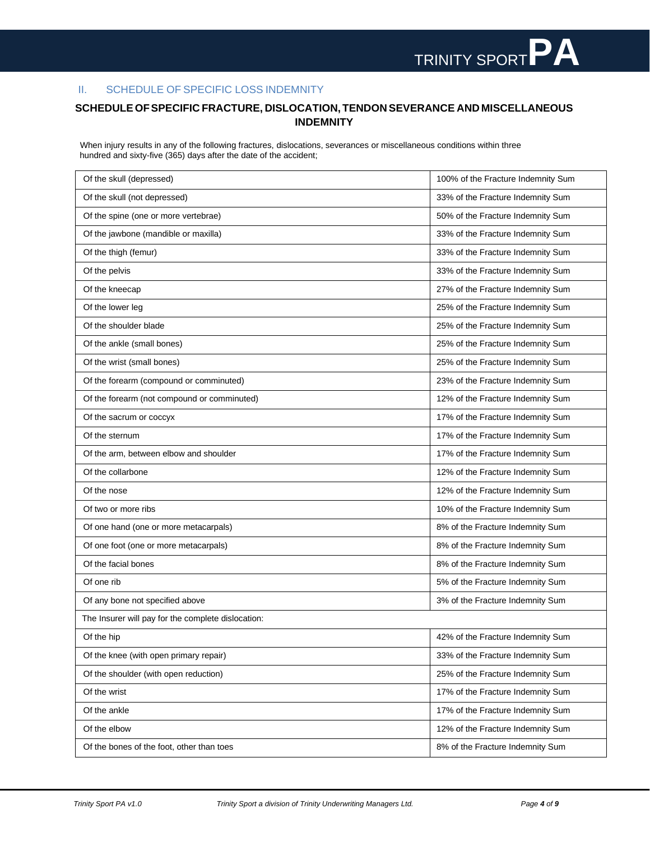# <span id="page-3-0"></span>II. SCHEDULE OF SPECIFIC LOSS INDEMNITY

# **SCHEDULEOFSPECIFIC FRACTURE, DISLOCATION, TENDON SEVERANCE AND MISCELLANEOUS INDEMNITY**

When injury results in any of the following fractures, dislocations, severances or miscellaneous conditions within three hundred and sixty-five (365) days after the date of the accident;

| Of the skull (depressed)                           | 100% of the Fracture Indemnity Sum |
|----------------------------------------------------|------------------------------------|
| Of the skull (not depressed)                       | 33% of the Fracture Indemnity Sum  |
| Of the spine (one or more vertebrae)               | 50% of the Fracture Indemnity Sum  |
| Of the jawbone (mandible or maxilla)               | 33% of the Fracture Indemnity Sum  |
| Of the thigh (femur)                               | 33% of the Fracture Indemnity Sum  |
| Of the pelvis                                      | 33% of the Fracture Indemnity Sum  |
| Of the kneecap                                     | 27% of the Fracture Indemnity Sum  |
| Of the lower leg                                   | 25% of the Fracture Indemnity Sum  |
| Of the shoulder blade                              | 25% of the Fracture Indemnity Sum  |
| Of the ankle (small bones)                         | 25% of the Fracture Indemnity Sum  |
| Of the wrist (small bones)                         | 25% of the Fracture Indemnity Sum  |
| Of the forearm (compound or comminuted)            | 23% of the Fracture Indemnity Sum  |
| Of the forearm (not compound or comminuted)        | 12% of the Fracture Indemnity Sum  |
| Of the sacrum or coccyx                            | 17% of the Fracture Indemnity Sum  |
| Of the sternum                                     | 17% of the Fracture Indemnity Sum  |
| Of the arm, between elbow and shoulder             | 17% of the Fracture Indemnity Sum  |
| Of the collarbone                                  | 12% of the Fracture Indemnity Sum  |
|                                                    | 12% of the Fracture Indemnity Sum  |
| Of the nose                                        |                                    |
| Of two or more ribs                                | 10% of the Fracture Indemnity Sum  |
| Of one hand (one or more metacarpals)              | 8% of the Fracture Indemnity Sum   |
| Of one foot (one or more metacarpals)              | 8% of the Fracture Indemnity Sum   |
| Of the facial bones                                | 8% of the Fracture Indemnity Sum   |
| Of one rib                                         | 5% of the Fracture Indemnity Sum   |
| Of any bone not specified above                    | 3% of the Fracture Indemnity Sum   |
| The Insurer will pay for the complete dislocation: |                                    |
| Of the hip                                         | 42% of the Fracture Indemnity Sum  |
| Of the knee (with open primary repair)             | 33% of the Fracture Indemnity Sum  |
| Of the shoulder (with open reduction)              | 25% of the Fracture Indemnity Sum  |
| Of the wrist                                       | 17% of the Fracture Indemnity Sum  |
| Of the ankle                                       | 17% of the Fracture Indemnity Sum  |
| Of the elbow                                       | 12% of the Fracture Indemnity Sum  |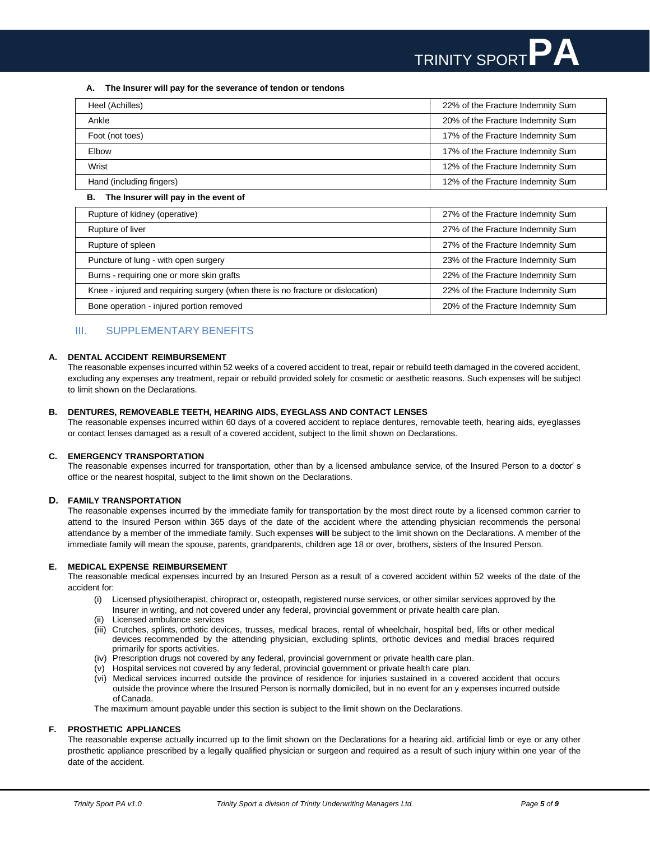

### **A. The Insurer will pay for the severance of tendon or tendons**

| Heel (Achilles)          | 22% of the Fracture Indemnity Sum |
|--------------------------|-----------------------------------|
| Ankle                    | 20% of the Fracture Indemnity Sum |
| Foot (not toes)          | 17% of the Fracture Indemnity Sum |
| Elbow                    | 17% of the Fracture Indemnity Sum |
| Wrist                    | 12% of the Fracture Indemnity Sum |
| Hand (including fingers) | 12% of the Fracture Indemnity Sum |

### **B. The Insurer will pay in the event of**

| Rupture of kidney (operative)                                                   | 27% of the Fracture Indemnity Sum |
|---------------------------------------------------------------------------------|-----------------------------------|
| Rupture of liver                                                                | 27% of the Fracture Indemnity Sum |
| Rupture of spleen                                                               | 27% of the Fracture Indemnity Sum |
| Puncture of lung - with open surgery                                            | 23% of the Fracture Indemnity Sum |
| Burns - requiring one or more skin grafts                                       | 22% of the Fracture Indemnity Sum |
| Knee - injured and requiring surgery (when there is no fracture or dislocation) | 22% of the Fracture Indemnity Sum |
| Bone operation - injured portion removed                                        | 20% of the Fracture Indemnity Sum |

### <span id="page-4-0"></span>III. SUPPLEMENTARY BENEFITS

### **A. DENTAL ACCIDENT REIMBURSEMENT**

The reasonable expenses incurred within 52 weeks of a covered accident to treat, repair or rebuild teeth damaged in the covered accident, excluding any expenses any treatment, repair or rebuild provided solely for cosmetic or aesthetic reasons. Such expenses will be subject to limit shown on the Declarations.

### **B. DENTURES, REMOVEABLE TEETH, HEARING AIDS, EYEGLASS AND CONTACT LENSES**

The reasonable expenses incurred within 60 days of a covered accident to replace dentures, removable teeth, hearing aids, eyeglasses or contact lenses damaged as a result of a covered accident, subject to the limit shown on Declarations.

### **C. EMERGENCY TRANSPORTATION**

The reasonable expenses incurred for transportation, other than by a licensed ambulance service, of the Insured Person to a doctor' s office or the nearest hospital, subject to the limit shown on the Declarations.

### **D. FAMILY TRANSPORTATION**

The reasonable expenses incurred by the immediate family for transportation by the most direct route by a licensed common carrier to attend to the Insured Person within 365 days of the date of the accident where the attending physician recommends the personal attendance by a member of the immediate family. Such expenses **will** be subject to the limit shown on the Declarations. A member of the immediate family will mean the spouse, parents, grandparents, children age 18 or over, brothers, sisters of the Insured Person.

### **E. MEDICAL EXPENSE REIMBURSEMENT**

The reasonable medical expenses incurred by an Insured Person as a result of a covered accident within 52 weeks of the date of the accident for:

- (i) Licensed physiotherapist, chiropract or, osteopath, registered nurse services, or other similar services approved by the Insurer in writing, and not covered under any federal, provincial government or private health care plan.
- (ii) Licensed ambulance services
- (iii) Crutches, splints, orthotic devices, trusses, medical braces, rental of wheelchair, hospital bed, lifts or other medical devices recommended by the attending physician, excluding splints, orthotic devices and medial braces required primarily for sports activities.
- (iv) Prescription drugs not covered by any federal, provincial government or private health care plan.
- (v) Hospital services not covered by any federal, provincial government or private health care plan.
- (vi) Medical services incurred outside the province of residence for injuries sustained in a covered accident that occurs outside the province where the Insured Person is normally domiciled, but in no event for an y expenses incurred outside of Canada.

The maximum amount payable under this section is subject to the limit shown on the Declarations.

### **F. PROSTHETIC APPLIANCES**

The reasonable expense actually incurred up to the limit shown on the Declarations for a hearing aid, artificial limb or eye or any other prosthetic appliance prescribed by a legally qualified physician or surgeon and required as a result of such injury within one year of the date of the accident.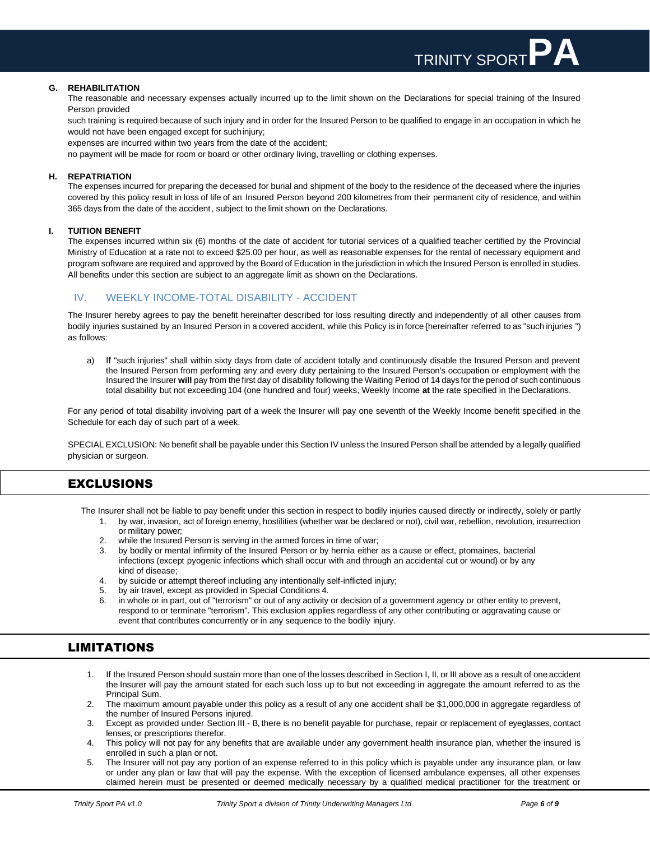### **G. REHABILITATION**

The reasonable and necessary expenses actually incurred up to the limit shown on the Declarations for special training of the Insured Person provided

such training is required because of such injury and in order for the Insured Person to be qualified to engage in an occupation in which he would not have been engaged except for suchinjury;

expenses are incurred within two years from the date of the accident;

no payment will be made for room or board or other ordinary living, travelling or clothing expenses.

### **H. REPATRIATION**

The expenses incurred for preparing the deceased for burial and shipment of the body to the residence of the deceased where the injuries covered by this policy result in loss of life of an Insured Person beyond 200 kilometres from their permanent city of residence, and within 365 days from the date of the accident, subject to the limit shown on the Declarations.

### **I. TUITION BENEFIT**

The expenses incurred within six (6) months of the date of accident for tutorial services of a qualified teacher certified by the Provincial Ministry of Education at a rate not to exceed \$25.00 per hour, as well as reasonable expenses for the rental of necessary equipment and program software are required and approved by the Board of Education in the jurisdiction in which the Insured Person is enrolled in studies. All benefits under this section are subject to an aggregate limit as shown on the Declarations.

# <span id="page-5-0"></span>IV. WEEKLY INCOME-TOTAL DISABILITY - ACCIDENT

The Insurer hereby agrees to pay the benefit hereinafter described for loss resulting directly and independently of all other causes from bodily injuries sustained by an Insured Person in a covered accident, while this Policy is in force {hereinafter referred to as "such injuries ") as follows:

a) If "such injuries" shall within sixty days from date of accident totally and continuously disable the Insured Person and prevent the Insured Person from performing any and every duty pertaining to the Insured Person's occupation or employment with the Insured the Insurer **will** pay from the first day of disability following the Waiting Period of 14 days for the period of such continuous total disability but not exceeding 104 (one hundred and four) weeks, Weekly Income **at** the rate specified in the Declarations.

For any period of total disability involving part of a week the Insurer will pay one seventh of the Weekly Income benefit specified in the Schedule for each day of such part of a week.

SPECIAL EXCLUSION: No benefit shall be payable under this Section IV unless the Insured Person shall be attended by a legally qualified physician or surgeon.

# <span id="page-5-1"></span>EXCLUSIONS

The Insurer shall not be liable to pay benefit under this section in respect to bodily injuries caused directly or indirectly, solely or partly

- by war, invasion, act of foreign enemy, hostilities (whether war be declared or not), civil war, rebellion, revolution, insurrection or military power;
- 2. while the Insured Person is serving in the armed forces in time of war;<br>3. by bodily or mental infirmity of the Insured Person or by hernia either
- by bodily or mental infirmity of the Insured Person or by hernia either as a cause or effect, ptomaines, bacterial infections (except pyogenic infections which shall occur with and through an accidental cut or wound) or by any kind of disease;
- 4. by suicide or attempt thereof including any intentionally self-inflicted injury;
- 5. by air travel, except as provided in Special Conditions 4.
- 6. in whole or in part, out of "terrorism" or out of any activity or decision of a government agency or other entity to prevent, respond to or terminate "terrorism". This exclusion applies regardless of any other contributing or aggravating cause or event that contributes concurrently or in any sequence to the bodily injury.

# <span id="page-5-2"></span>LIMITATIONS

- 1. If the Insured Person should sustain more than one of the losses described inSection I, II, or III above as a result of one accident the Insurer will pay the amount stated for each such loss up to but not exceeding in aggregate the amount referred to as the Principal Sum.
- 2. The maximum amount payable under this policy as a result of any one accident shall be \$1,000,000 in aggregate regardless of the number of Insured Persons injured.
- 3. Except as provided under Section III B, there is no benefit payable for purchase, repair or replacement of eyeglasses, contact lenses, or prescriptions therefor.
- 4. This policy will not pay for any benefits that are available under any government health insurance plan, whether the insured is enrolled in such a plan or not.
- 5. The Insurer will not pay any portion of an expense referred to in this policy which is payable under any insurance plan, or law or under any plan or law that will pay the expense. With the exception of licensed ambulance expenses, all other expenses claimed herein must be presented or deemed medically necessary by a qualified medical practitioner for the treatment or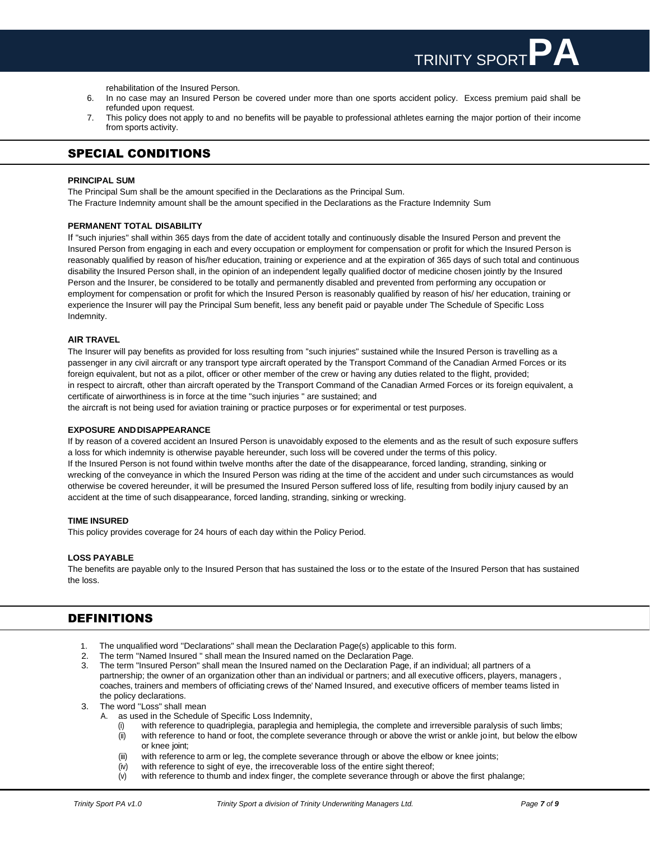rehabilitation of the Insured Person.

- 6. In no case may an Insured Person be covered under more than one sports accident policy. Excess premium paid shall be refunded upon request.
- 7. This policy does not apply to and no benefits will be payable to professional athletes earning the major portion of their income from sports activity.

# <span id="page-6-0"></span>SPECIAL CONDITIONS

### **PRINCIPAL SUM**

The Principal Sum shall be the amount specified in the Declarations as the Principal Sum. The Fracture Indemnity amount shall be the amount specified in the Declarations as the Fracture Indemnity Sum

### **PERMANENT TOTAL DISABILITY**

If "such injuries'' shall within 365 days from the date of accident totally and continuously disable the Insured Person and prevent the Insured Person from engaging in each and every occupation or employment for compensation or profit for which the Insured Person is reasonably qualified by reason of his/her education, training or experience and at the expiration of 365 days of such total and continuous disability the Insured Person shall, in the opinion of an independent legally qualified doctor of medicine chosen jointly by the Insured Person and the Insurer, be considered to be totally and permanently disabled and prevented from performing any occupation or employment for compensation or profit for which the Insured Person is reasonably qualified by reason of his/ her education, training or experience the Insurer will pay the Principal Sum benefit, less any benefit paid or payable under The Schedule of Specific Loss Indemnity.

### **AIR TRAVEL**

The Insurer will pay benefits as provided for loss resulting from ''such injuries" sustained while the Insured Person is travelling as a passenger in any civil aircraft or any transport type aircraft operated by the Transport Command of the Canadian Armed Forces or its foreign equivalent, but not as a pilot, officer or other member of the crew or having any duties related to the flight, provided; in respect to aircraft, other than aircraft operated by the Transport Command of the Canadian Armed Forces or its foreign equivalent, a certificate of airworthiness is in force at the time "such injuries " are sustained; and

the aircraft is not being used for aviation training or practice purposes or for experimental or test purposes.

### **EXPOSURE AND DISAPPEARANCE**

If by reason of a covered accident an Insured Person is unavoidably exposed to the elements and as the result of such exposure suffers a loss for which indemnity is otherwise payable hereunder, such loss will be covered under the terms of this policy. If the Insured Person is not found within twelve months after the date of the disappearance, forced landing, stranding, sinking or wrecking of the conveyance in which the Insured Person was riding at the time of the accident and under such circumstances as would otherwise be covered hereunder, it will be presumed the Insured Person suffered loss of life, resulting from bodily injury caused by an accident at the time of such disappearance, forced landing, stranding, sinking or wrecking.

### **TIME INSURED**

This policy provides coverage for 24 hours of each day within the Policy Period.

### **LOSS PAYABLE**

The benefits are payable only to the Insured Person that has sustained the loss or to the estate of the Insured Person that has sustained the loss.

# <span id="page-6-1"></span>DEFINITIONS

- 1. The unqualified word ''Declarations" shall mean the Declaration Page(s) applicable to this form.
- 2. The term ''Named Insured " shall mean the Insured named on the Declaration Page.
- 3. The term "Insured Person" shall mean the Insured named on the Declaration Page, if an individual; all partners of a partnership; the owner of an organization other than an individual or partners; and all executive officers, players, managers , coaches, trainers and members of officiating crews of the' Named Insured, and executive officers of member teams listed in the policy declarations.
- 3. The word ''Loss" shall mean
	- A. as used in the Schedule of Specific Loss Indemnity,
		- with reference to quadriplegia, paraplegia and hemiplegia, the complete and irreversible paralysis of such limbs;
		- (ii) with reference to hand or foot, the complete severance through or above the wrist or ankle joint, but below the elbow or knee joint;
		- (iii) with reference to arm or leg, the complete severance through or above the elbow or knee joints;
		- $(iv)$  with reference to sight of eye, the irrecoverable loss of the entire sight thereof;<br> $(v)$  with reference to thumb and index finger, the complete severance through or a
		- with reference to thumb and index finger, the complete severance through or above the first phalange;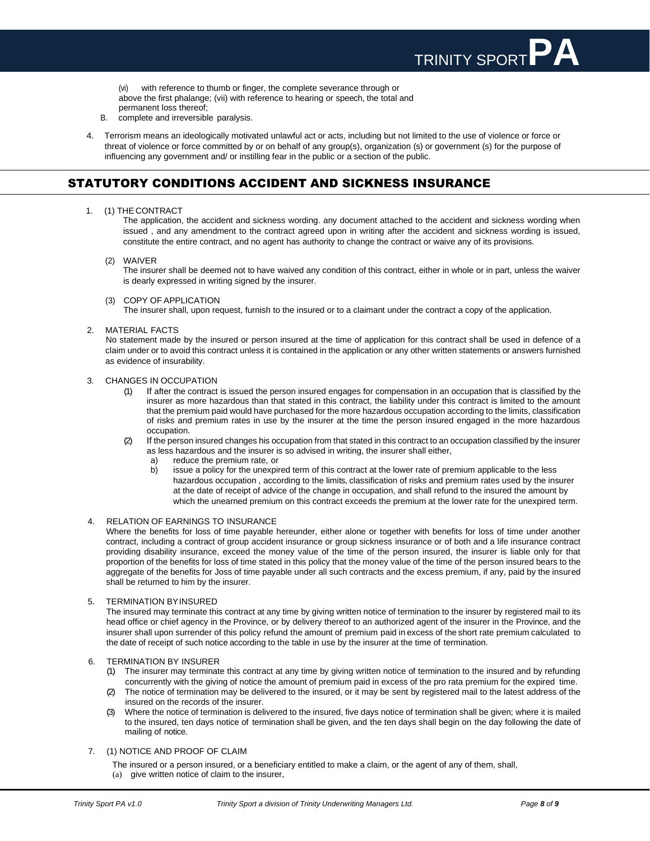with reference to thumb or finger, the complete severance through or above the first phalange; (vii) with reference to hearing or speech, the total and permanent loss thereof;

- B. complete and irreversible paralysis.
- 4. Terrorism means an ideologically motivated unlawful act or acts, including but not limited to the use of violence or force or threat of violence or force committed by or on behalf of any group(s), organization (s) or government (s) for the purpose of influencing any government and/ or instilling fear in the public or a section of the public.

# <span id="page-7-0"></span>STATUTORY CONDITIONS ACCIDENT AND SICKNESS INSURANCE

### 1. (1) THE CONTRACT

The application, the accident and sickness wording. any document attached to the accident and sickness wording when issued , and any amendment to the contract agreed upon in writing after the accident and sickness wording is issued, constitute the entire contract, and no agent has authority to change the contract or waive any of its provisions.

(2) WAIVER

The insurer shall be deemed not to have waived any condition of this contract, either in whole or in part, unless the waiver is dearly expressed in writing signed by the insurer.

(3) COPY OF APPLICATION

The insurer shall, upon request, furnish to the insured or to a claimant under the contract a copy of the application.

2. MATERIAL FACTS

No statement made by the insured or person insured at the time of application for this contract shall be used in defence of a claim under or to avoid this contract unless it is contained in the application or any other written statements or answers furnished as evidence of insurability.

### 3. CHANGES IN OCCUPATION

- (1) If after the contract is issued the person insured engages for compensation in an occupation that is classified by the insurer as more hazardous than that stated in this contract, the liability under this contract is limited to the amount that the premium paid would have purchased for the more hazardous occupation according to the limits, classification of risks and premium rates in use by the insurer at the time the person insured engaged in the more hazardous occupation.
- (2) If the person insured changes his occupation from that stated in this contract to an occupation classified by the insurer as less hazardous and the insurer is so advised in writing, the insurer shall either,
	- a) reduce the premium rate, or
	- b) issue a policy for the unexpired term of this contract at the lower rate of premium applicable to the less hazardous occupation , according to the limits, classification of risks and premium rates used by the insurer at the date of receipt of advice of the change in occupation, and shall refund to the insured the amount by which the unearned premium on this contract exceeds the premium at the lower rate for the unexpired term.

### 4. RELATION OF EARNINGS TO INSURANCE

Where the benefits for loss of time payable hereunder, either alone or together with benefits for loss of time under another contract, including a contract of group accident insurance or group sickness insurance or of both and a life insurance contract providing disability insurance, exceed the money value of the time of the person insured, the insurer is liable only for that proportion of the benefits for loss of time stated in this policy that the money value of the time of the person insured bears to the aggregate of the benefits for Joss of time payable under all such contracts and the excess premium, if any, paid by the insured shall be returned to him by the insurer.

### 5. TERMINATION BYINSURED

The insured may terminate this contract at any time by giving written notice of termination to the insurer by registered mail to its head office or chief agency in the Province, or by delivery thereof to an authorized agent of the insurer in the Province, and the insurer shall upon surrender of this policy refund the amount of premium paid in excess of the short rate premium calculated to the date of receipt of such notice according to the table in use by the insurer at the time of termination.

- 6. TERMINATION BY INSURER
	- (1) The insurer may terminate this contract at any time by giving written notice of termination to the insured and by refunding concurrently with the giving of notice the amount of premium paid in excess of the pro rata premium for the expired time.
	- (2) The notice of termination may be delivered to the insured, or it may be sent by registered mail to the latest address of the insured on the records of the insurer.
	- Where the notice of termination is delivered to the insured, five days notice of termination shall be given; where it is mailed to the insured, ten days notice of termination shall be given, and the ten days shall begin on the day following the date of mailing of notice.
- 7. (1) NOTICE AND PROOF OF CLAIM
	- The insured or a person insured, or a beneficiary entitled to make a claim, or the agent of any of them, shall,
	- (a) give written notice of claim to the insurer,